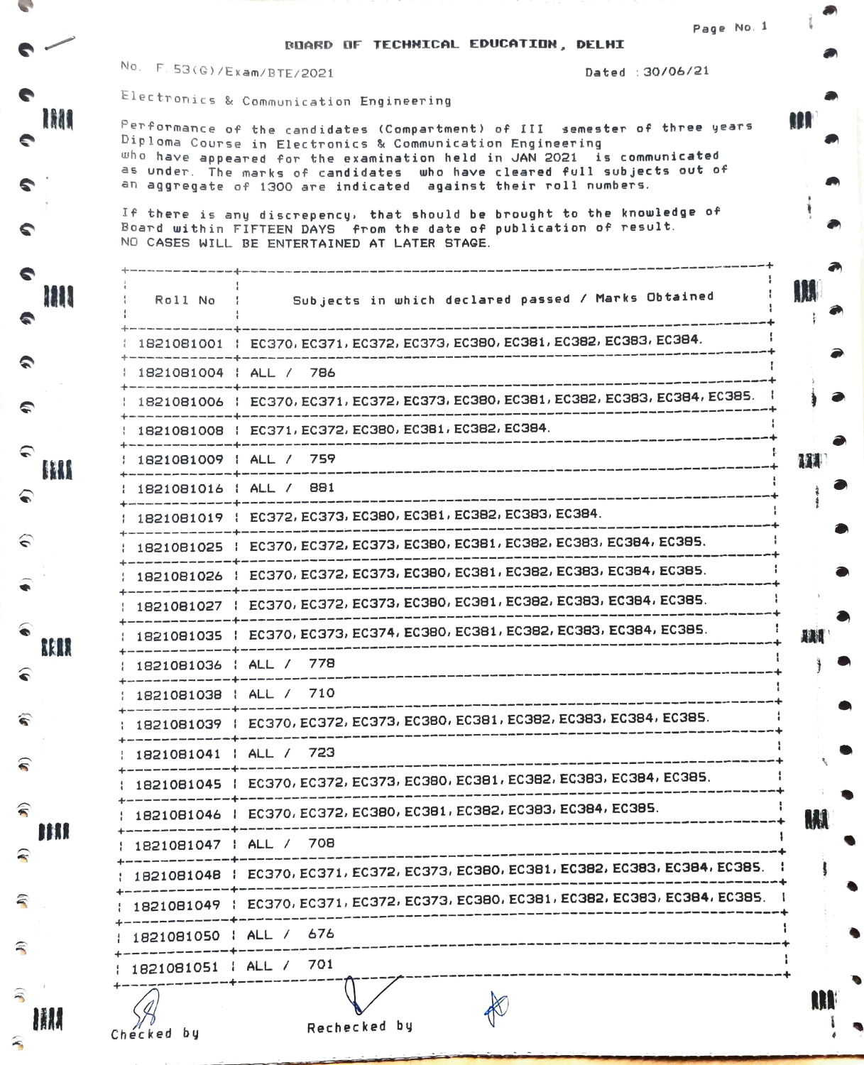RDARD DF TECHNICAL EDUCATION, DELHI

Page No. 1

**MA** 

- 1

No. F. 53(G)/Exam/BTE/2021 Dated : 30/06/21

Electr onics & Communication Engineering

 $Performance$  of the candidates (Compartment) of III semester of three years Diploma Course in Electronics & Communication Engineering uho have appeared for the examination held in JAN 2021 is communicated who have appeared full the examination have cleared full subjects out of<br>as under. The marks of candidates who have cleared full subjects out of<br>an aggregate of 1300 are indicated against their roll numbers. an aggregate of 1300 are indicated against their roll numbers.

If there is any discrepency, that should be brought to the knowledge of Board within FIFTEEN DAYS from the date of publication of result. NO CASES WILL BE ENTERTAINED AT LATER STAGE.

| Roll No                | Subjects in which declared passed / Marks Obtained                                 | <b>IM</b>   |
|------------------------|------------------------------------------------------------------------------------|-------------|
|                        | 1821081001   EC370, EC371, EC372, EC373, EC380, EC381, EC382, EC383, EC384.        |             |
|                        | 1821081004   ALL / 786                                                             |             |
|                        | 1821081006   EC370, EC371, EC372, EC373, EC380, EC381, EC382, EC383, EC384, EC385. |             |
|                        | 1821081008   EC371, EC372, EC380, EC381, EC382, EC384.                             |             |
|                        | 1821081009   ALL / 759                                                             | MU          |
|                        | 1821081016   ALL / 881                                                             |             |
|                        | 1821081019   EC372, EC373, EC380, EC381, EC382, EC383, EC384.                      |             |
|                        | 1821081025   EC370, EC372, EC373, EC380, EC381, EC382, EC383, EC384, EC385.        |             |
|                        | 1821081026   EC370, EC372, EC373, EC380, EC381, EC382, EC383, EC384, EC385.        |             |
|                        | 1821081027   EC370, EC372, EC373, EC380, EC381, EC382, EC383, EC384, EC385.        |             |
|                        | 1821081035   EC370, EC373, EC374, EC380, EC381, EC382, EC383, EC384, EC385.        | <b>ALLE</b> |
|                        | 1821081036   ALL / 778                                                             |             |
|                        | 1821081038   ALL / 710                                                             |             |
|                        | 1821081039   EC370, EC372, EC373, EC380, EC381, EC382, EC383, EC384, EC385.        |             |
|                        | 1821081041   ALL / 723                                                             |             |
|                        | 1821081045   EC370, EC372, EC373, EC380, EC381, EC382, EC383, EC384, EC385.        |             |
|                        | 1821081046   EC370, EC372, EC380, EC381, EC382, EC383, EC384, EC385.               | M           |
|                        | 1821081047   ALL / 708                                                             |             |
|                        | 1821081048   EC370, EC371, EC372, EC373, EC380, EC381, EC382, EC383, EC384, EC385. |             |
| ----------------       | 1821081049   EC370, EC371, EC372, EC373, EC380, EC381, EC382, EC383, EC384, EC385. |             |
| 1821081050   ALL / 676 |                                                                                    |             |
| 1821081051   ALL / 701 |                                                                                    |             |
| Checked by             | Rechecked by                                                                       | <b>AH</b>   |

1888

m

S

⊂

⊂ HH

 $\widehat{\bullet}$ 

€

BRIR

€

ลิ

€

 $\widehat{\mathbf{r}}$ 

写

甭

হি

HI.

m

€